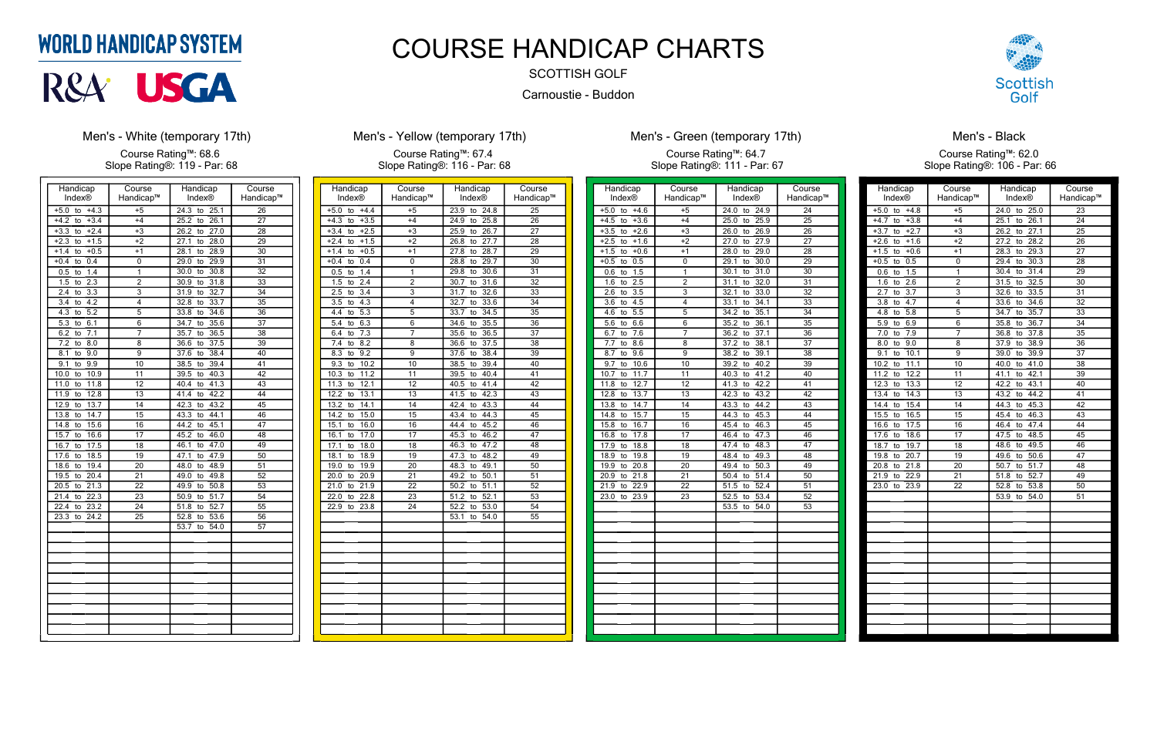| Handicap                        | Course          | Handicap           | Course          |
|---------------------------------|-----------------|--------------------|-----------------|
| <b>Index®</b>                   | Handicap™       | <b>Index®</b>      | Handicap™       |
| $+5.0$<br>$+4.3$<br>to          | $+5$            | 24.3<br>25.1<br>to | $\overline{26}$ |
| $+4.2$<br>$+3.4$<br>to          | +4              | 26.1<br>25.2<br>to | 27              |
| $+3.3$<br>$+2.4$<br>to          | $+3$            | 26.2<br>27.0<br>to | 28              |
| $+2.3$<br>$+1.5$<br>to          | $+2$            | 28.0<br>27.1<br>to | 29              |
| $+1.4$<br>$+0.5$<br>to          | $+1$            | 28.1<br>28.9<br>to | 30              |
| $+0.4$<br>0.4<br>to             | 0               | 29.0<br>29.9<br>to | $\overline{31}$ |
| 0.5<br>1.4<br>to                | 1               | 30.8<br>30.0<br>to | 32              |
| 1.5<br>2.3<br>to                | $\overline{2}$  | 30.9<br>31.8<br>to | $\overline{33}$ |
| $\overline{2.4}$<br>3.3<br>to   | $\overline{3}$  | 32.7<br>31.9<br>to | $\overline{34}$ |
| 4.2<br>3.4<br>to                | 4               | 33.7<br>32.8<br>to | 35              |
| 4.3<br>5.2<br>to                | $\overline{5}$  | 33.8<br>34.6<br>to | 36              |
| 5.3<br>6.1<br>to                | 6               | 34.7<br>35.6<br>to | 37              |
| 6.2<br>7.1<br>to                | 7               | 35.7<br>36.5<br>to | 38              |
| $\overline{7.2}$<br>8.0<br>to   | $\overline{8}$  | 37.5<br>36.6<br>to | $\overline{39}$ |
| 8.1<br>9.0<br>to                | 9               | 37.6<br>38.4<br>to | 40              |
| 9.1<br>9.9<br>to                | 10              | 38.5<br>39.4<br>to | 41              |
| 10.0<br>10.9<br>to              | 11              | 40.3<br>39.5<br>to | 42              |
| 11.0<br>11.8<br>to              | 12              | 41.3<br>40.4<br>to | 43              |
| 12.8<br>11.9<br>to              | $\overline{13}$ | 42.2<br>41.4<br>to | 44              |
| 12.9<br>13.7<br>to              | 14              | 43.2<br>42.3<br>to | $\overline{45}$ |
| 13.8<br>14.7<br>to              | 15              | 43.3<br>44.1<br>to | 46              |
| 14.8<br>15.6<br>to              | 16              | 44.2<br>45.1<br>to | 47              |
| 15.7<br>16.6<br>to              | 17              | 45.2<br>46.0<br>to | 48              |
| 16.7<br>17.5<br>to              | 18              | 47.0<br>46.1<br>to | 49              |
| 17.6<br>18.5<br>to              | 19              | 47.9<br>47.1<br>to | $\overline{50}$ |
| 18.6<br>19.4<br>to              | 20              | 48.0<br>48.9<br>to | 51              |
| 19.5<br>$\overline{20.4}$<br>to | 21              | 49.8<br>49.0<br>to | 52              |
| 20.5<br>21.3<br>to              | $\overline{22}$ | 49.9<br>50.8<br>to | 53              |
| 22.3<br>21.4<br>to              | $\overline{23}$ | 51.7<br>50.9<br>to | $\overline{54}$ |
| 22.4<br>23.2<br>to              | $\overline{24}$ | 52.7<br>51.8<br>to | 55              |
| 23.3<br>24.2<br>to              | 25              | 52.8<br>53.6<br>to | 56              |
|                                 |                 | 53.7<br>54.0<br>to | 57              |
|                                 |                 |                    |                 |
|                                 |                 |                    |                 |
|                                 |                 |                    |                 |
|                                 |                 |                    |                 |
|                                 |                 |                    |                 |
|                                 |                 |                    |                 |
|                                 |                 |                    |                 |
|                                 |                 |                    |                 |
|                                 |                 |                    |                 |
|                                 |                 |                    |                 |

# **WORLD HANDICAP SYSTEM**



### **Men's - White (temporary 17th)**

Course Rating™: 68.6 Slope Rating®: 119 - Par: 68

| Handicap                       | Course                  | Handicap                        | Course          |
|--------------------------------|-------------------------|---------------------------------|-----------------|
| <b>Index®</b>                  | Handicap™               | Index®                          | Handicap™       |
| $+5.0$<br>$+4.4$<br>to         | $+5$                    | 24.8<br>23.9<br>to              | 25              |
| $+4.3$<br>$+3.5$<br>to         | $+4$                    | 25.8<br>24.9<br>to              | 26              |
| $+3.4$<br>$+2.5$<br>to         | $+3$                    | 26.7<br>25.9<br>to              | $\overline{27}$ |
| $+2.4$<br>$+1.5$<br>to         | $+2$                    | 26.8<br>27.7<br>to              | 28              |
| $+0.5$<br>$+1.4$<br>to         | $\overline{+1}$         | 27.8<br>28.7<br>to              | 29              |
| $+0.4$<br>0.4<br>to            | 0                       | 29.7<br>28.8<br>to              | 30              |
| 0.5<br>1.4<br>to               | 1                       | 29.8<br>30.6<br>to              | 31              |
| 2.4<br>1.5<br>to               | $\overline{2}$          | 30.7<br>31.6<br>to              | 32              |
| 2.5<br>$\overline{3.4}$<br>to  | 3                       | 32.6<br>$\overline{31.7}$<br>to | $\overline{33}$ |
| 3.5<br>4.3<br>to               | 4                       | 32.7<br>33.6<br>to              | 34              |
| $\overline{5.3}$<br>4.4<br>to  | $\overline{5}$          | 33.7<br>$\overline{34.5}$<br>to | $\overline{35}$ |
| 6.3<br>5.4<br>to               | 6                       | 35.5<br>34.6<br>to              | $\overline{36}$ |
| 6.4<br>7.3<br>to               | 7                       | 35.6<br>36.5<br>to              | 37              |
| 8.2<br>7.4<br>to               | $\overline{\mathbf{8}}$ | 37.5<br>36.6<br>to              | $\overline{38}$ |
| 8.3<br>9.2<br>to               | 9                       | 38.4<br>37.6<br>to              | $\overline{39}$ |
| 9.3<br>$\overline{10.2}$<br>to | 10                      | 38.5<br>39.4<br>to              | 40              |
| 10.3<br>11.2<br>to             | 11                      | 39.5<br>40.4<br>to              | 41              |
| 11.3<br>12.1<br>to             | 12                      | 41.4<br>40.5<br>to              | 42              |
| 12.2<br>13.1<br>to             | 13                      | 41.5<br>42.3<br>to              | 43              |
| 13.2<br>14.1<br>to             | $\overline{14}$         | 42.4<br>43.3<br>to              | 44              |
| 14.2<br>15.0<br>to             | 15                      | 44.3<br>43.4<br>to              | 45              |
| 15.1<br>16.0<br>to             | 16                      | 45.2<br>44.4<br>to              | 46              |
| 16.1<br>17.0<br>to             | 17                      | 46.2<br>45.3<br>to              | 47              |
| 17.1<br>18.0<br>to             | 18                      | 47.2<br>46.3<br>to              | 48              |
| 18.1<br>18.9<br>to             | $\overline{19}$         | 48.2<br>47.3<br>to              | 49              |
| 19.0<br>19.9<br>to             | $\overline{20}$         | 48.3<br>49.1<br>to              | 50              |
| 20.9<br>20.0<br>to             | 21                      | 49.2<br>50.1<br>to              | 51              |
| 21.0<br>21.9<br>to             | $\overline{22}$         | 51.1<br>50.2<br>to              | 52              |
| 22.0<br>22.8<br>to             | $\overline{23}$         | 52.1<br>$\overline{51.2}$<br>to | 53              |
| 22.9<br>23.8<br>to             | $\overline{24}$         | 52.2<br>53.0<br>to              | 54              |
|                                |                         | 53.1<br>54.0<br>to              | 55              |
|                                |                         |                                 |                 |
|                                |                         |                                 |                 |
|                                |                         |                                 |                 |
|                                |                         |                                 |                 |
|                                |                         |                                 |                 |
|                                |                         |                                 |                 |
|                                |                         |                                 |                 |
|                                |                         |                                 |                 |
|                                |                         |                                 |                 |
|                                |                         |                                 |                 |
|                                |                         |                                 |                 |

## **Men's - Yellow (temporary 17th)**

Course Rating™: 67.4 Slope Rating®: 116 - Par: 68

| Handicap               | Course          | Handicap           | Course          |
|------------------------|-----------------|--------------------|-----------------|
| Index®                 | Handicap™       | <b>Index®</b>      | Handicap™       |
| $+5.0$<br>$+4.6$<br>to | $+5$            | 24.0<br>24.9<br>to | 24              |
| $+3.6$<br>$+4.5$<br>to | $+4$            | 25.0<br>to<br>25.9 | 25              |
| $+3.5$<br>$+2.6$<br>to | $+3$            | 26.9<br>26.0<br>to | 26              |
| $+2.5$<br>$+1.6$<br>to | $+2$            | 27.9<br>27.0<br>to | 27              |
| $+0.6$<br>$+1.5$<br>to | $+1$            | 29.0<br>28.0<br>to | 28              |
| 0.5<br>$+0.5$<br>to    | 0               | 30.0<br>29.1<br>to | 29              |
| 1.5<br>0.6<br>to       | 1               | 31.0<br>30.1<br>to | 30              |
| 2.5<br>1.6<br>to       | $\overline{2}$  | 32.0<br>31.1<br>to | $\overline{3}1$ |
| 3.5<br>2.6<br>to       | $\overline{3}$  | 32.1<br>33.0<br>to | 32              |
| 4.5<br>3.6<br>to       | 4               | 33.1<br>34.1<br>to | 33              |
| 4.6<br>5.5<br>to       | $\overline{5}$  | 34.2<br>35.1<br>to | 34              |
| 5.6<br>6.6<br>to       | 6               | 36.1<br>35.2<br>to | 35              |
| 6.7<br>7.6<br>to       | 7               | 36.2<br>37.1<br>to | 36              |
| 7.7<br>8.6<br>to       | 8               | 37.2<br>38.1<br>to | 37              |
| 8.7<br>9.6<br>to       | 9               | 38.2<br>39.1<br>to | 38              |
| 9.7<br>10.6<br>to      | 10              | 40.2<br>39.2<br>to | 39              |
| 10.7<br>11.7<br>to     | 11              | 40.3<br>41.2<br>to | 40              |
| 12.7<br>11.8<br>to     | 12              | 41.3<br>42.2<br>to | 41              |
| 12.8<br>13.7<br>to     | 13              | 43.2<br>42.3<br>to | 42              |
| 13.8<br>14.7<br>to     | 14              | 44.2<br>43.3<br>to | 43              |
| 14.8<br>15.7<br>to     | 15              | 45.3<br>44.3<br>to | 44              |
| 15.8<br>16.7<br>to     | 16              | 45.4<br>46.3<br>to | 45              |
| 17.8<br>16.8<br>to     | 17              | 47.3<br>46.4<br>to | 46              |
| 18.8<br>17.9<br>to     | 18              | 48.3<br>47.4<br>to | 47              |
| 18.9<br>19.8<br>to     | 19              | 48.4<br>49.3<br>to | 48              |
| 19.9<br>20.8<br>to     | 20              | 50.3<br>49.4<br>to | 49              |
| 20.9<br>21.8<br>to     | 21              | 50.4<br>51.4<br>to | 50              |
| 21.9<br>22.9<br>to     | 22              | 51.5<br>52.4<br>to | 51              |
| 23.0<br>23.9<br>to     | $\overline{23}$ | 52.5<br>53.4<br>to | 52              |
|                        |                 | 53.5<br>54.0<br>to | $\overline{53}$ |
|                        |                 |                    |                 |
|                        |                 |                    |                 |
|                        |                 |                    |                 |
|                        |                 |                    |                 |
|                        |                 |                    |                 |
|                        |                 |                    |                 |
|                        |                 |                    |                 |
|                        |                 |                    |                 |
|                        |                 |                    |                 |
|                        |                 |                    |                 |
|                        |                 |                    |                 |
|                        |                 |                    |                 |



### Men's - Green (temporary 17th)

#### Course Rating™: 64.7 Slope Rating®: 111 - Par: 67

| Handicap                                   | Course          | Handicap                        | Course          |
|--------------------------------------------|-----------------|---------------------------------|-----------------|
| Index®                                     | Handicap™       | <b>Index®</b>                   | Handicap™       |
| $+5.0$<br>to<br>$+4.8$                     | $+5$            | 24.0<br>25.0<br>to              | 23              |
| $+4.7$<br>$+3.8$<br>to                     | $+4$            | 25.1<br>to<br>26.1              | 24              |
| $+3.7$<br>$+2.7$<br>to                     | $+3$            | 26.2<br>27.1<br>to              | 25              |
| $+2.6$<br>$+1.6$<br>to                     | $+2$            | 27.2<br>28.2<br>to              | 26              |
| $+1.5$<br>$+0.6$<br>to                     | $+1$            | 28.3<br>29.3<br>to              | $\overline{27}$ |
| $+0.5$<br>0.5<br>to                        | 0               | 29.4<br>30.3<br>to              | 28              |
| 0.6<br>1.5<br>to                           | 1               | $\overline{31.4}$<br>30.4<br>to | 29              |
| 1.6<br>2.6<br>to                           | $\overline{2}$  | 31.5<br>32.5<br>to              | 30              |
| $\overline{2.7}$<br>$\overline{3.7}$<br>to | 3               | 32.6<br>33.5<br>to              | $\overline{31}$ |
| $\overline{3.8}$<br>4.7<br>to              | 4               | 33.6<br>34.6<br>to              | 32              |
| 4.8<br>5.8<br>to                           | $\overline{5}$  | 34.7<br>35.7<br>to              | $\overline{33}$ |
| 5.9<br>6.9<br>to                           | 6               | 36.7<br>35.8<br>to              | $\overline{34}$ |
| 7.0<br>7.9<br>to                           | 7               | 37.8<br>36.8<br>to              | 35              |
| 8.0<br>9.0<br>to                           | 8               | 37.9<br>38.9<br>to              | $\overline{36}$ |
| 9.1<br>10.1<br>to                          | 9               | 39.0<br>39.9<br>to              | $\overline{37}$ |
| 10.2<br>11.1<br>to                         | 10              | 41.0<br>40.0<br>to              | 38              |
| 11.2<br>12.2<br>to                         | 11              | 42.1<br>41.1<br>to              | 39              |
| 12.3<br>13.3<br>to                         | 12              | 42.2<br>43.1<br>to              | 40              |
| 13.4<br>14.3<br>to                         | $\overline{13}$ | 43.2<br>44.2<br>to              | 41              |
| 14.4<br>15.4<br>to                         | 14              | 44.3<br>45.3<br>to              | $\overline{42}$ |
| 15.5<br>16.5<br>to                         | 15              | 46.3<br>45.4<br>to              | 43              |
| 17.5<br>16.6<br>to                         | 16              | 47.4<br>46.4<br>to              | 44              |
| 17.6<br>18.6<br>to                         | $\overline{17}$ | 47.5<br>48.5<br>to              | 45              |
| 19.7<br>18.7<br>to                         | 18              | 49.5<br>48.6<br>to              | 46              |
| 19.8<br>20.7<br>to                         | 19              | 50.6<br>49.6<br>to              | 47              |
| 20.8<br>21.8<br>to                         | 20              | 50.7<br>51.7<br>to              | 48              |
| 21.9<br>22.9<br>to                         | 21              | 52.7<br>51.8<br>to              | 49              |
| 23.0<br>23.9<br>to                         | $\overline{22}$ | 52.8<br>53.8<br>to              | 50              |
|                                            |                 | 53.9<br>54.0<br>to              | $\overline{51}$ |
|                                            |                 |                                 |                 |
|                                            |                 |                                 |                 |
|                                            |                 |                                 |                 |
|                                            |                 |                                 |                 |
|                                            |                 |                                 |                 |
|                                            |                 |                                 |                 |
|                                            |                 |                                 |                 |
|                                            |                 |                                 |                 |
|                                            |                 |                                 |                 |
|                                            |                 |                                 |                 |
|                                            |                 |                                 |                 |
|                                            |                 |                                 |                 |
|                                            |                 |                                 |                 |

### Men's - Black

#### Course Rating™: 62.0 Slope Rating®: 106 - Par: 66

# COURSE HANDICAP CHARTS

SCOTTISH GOLF

Carnoustie - Buddon